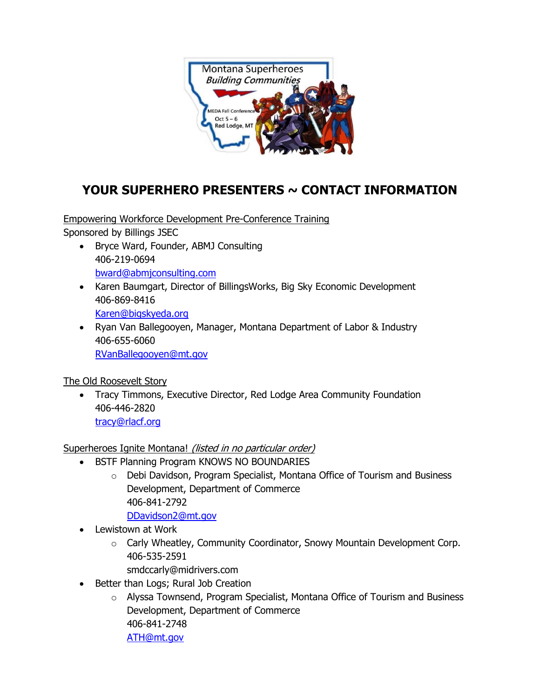

## **YOUR SUPERHERO PRESENTERS ~ CONTACT INFORMATION**

Empowering Workforce Development Pre-Conference Training Sponsored by Billings JSEC

- Bryce Ward, Founder, ABMJ Consulting 406-219-0694 [bward@abmjconsulting.com](mailto:bward@abmjconsulting.com)
- Karen Baumgart, Director of BillingsWorks, Big Sky Economic Development 406-869-8416 [Karen@bigskyeda.org](mailto:Karen@bigskyeda.org)
- Ryan Van Ballegooyen, Manager, Montana Department of Labor & Industry 406-655-6060 [RVanBallegooyen@mt.gov](mailto:RVanBallegooyen@mt.gov)

The Old Roosevelt Story

• Tracy Timmons, Executive Director, Red Lodge Area Community Foundation 406-446-2820 [tracy@rlacf.org](mailto:tracy@rlacf.org)

Superheroes Ignite Montana! (listed in no particular order)

- BSTF Planning Program KNOWS NO BOUNDARIES
	- o Debi Davidson, Program Specialist, Montana Office of Tourism and Business Development, Department of Commerce 406-841-2792

[DDavidson2@mt.gov](mailto:DDavidson2@mt.gov)

- Lewistown at Work
	- o Carly Wheatley, Community Coordinator, Snowy Mountain Development Corp. 406-535-2591
		- smdccarly@midrivers.com
- Better than Logs; Rural Job Creation
	- o Alyssa Townsend, Program Specialist, Montana Office of Tourism and Business Development, Department of Commerce 406-841-2748 [ATH@mt.gov](mailto:ATH@mt.gov)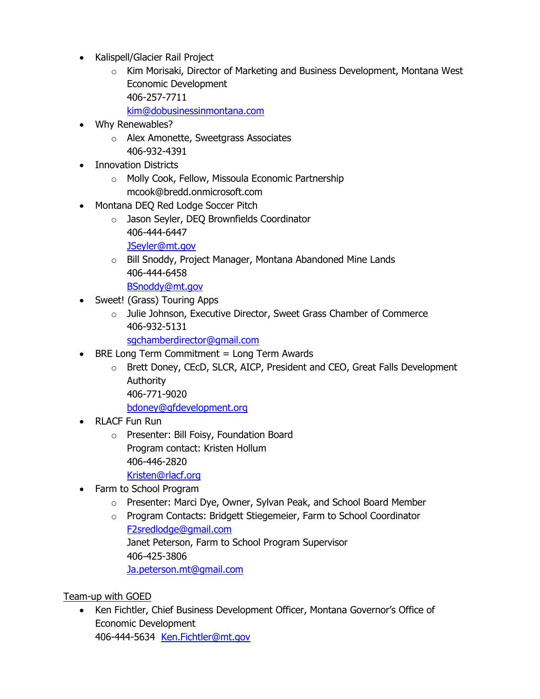- Kalispell/Glacier Rail Project
	- o Kim Morisaki, Director of Marketing and Business Development, Montana West Economic Development 406-257-7711

[kim@dobusinessinmontana.com](mailto:kim@dobusinessinmontana.com)

- Why Renewables?
	- o Alex Amonette, Sweetgrass Associates 406-932-4391
- Innovation Districts
	- o Molly Cook, Fellow, Missoula Economic Partnership mcook@bredd.onmicrosoft.com
- Montana DEQ Red Lodge Soccer Pitch
	- o Jason Seyler, DEQ Brownfields Coordinator 406-444-6447
		- [JSeyler@mt.gov](mailto:JSeyler@mt.gov)
	- o Bill Snoddy, Project Manager, Montana Abandoned Mine Lands 406-444-6458 [BSnoddy@mt.gov](mailto:BSnoddy@mt.gov)
- Sweet! (Grass) Touring Apps
	- o Julie Johnson, Executive Director, Sweet Grass Chamber of Commerce 406-932-5131

[sgchamberdirector@gmail.com](mailto:sgchamberdirector@gmail.com)

- BRE Long Term Commitment = Long Term Awards
	- o Brett Doney, CEcD, SLCR, AICP, President and CEO, Great Falls Development Authority 406-771-9020

[bdoney@gfdevelopment.org](mailto:bdoney@gfdevelopment.org)

- RLACF Fun Run
	- o Presenter: Bill Foisy, Foundation Board Program contact: Kristen Hollum 406-446-2820
		- [Kristen@rlacf.org](mailto:Kristen@rlacf.org)
- Farm to School Program
	- o Presenter: Marci Dye, Owner, Sylvan Peak, and School Board Member
	- o Program Contacts: Bridgett Stiegemeier, Farm to School Coordinator [F2sredlodge@gmail.com](mailto:F2sredlodge@gmail.com) Janet Peterson, Farm to School Program Supervisor 406-425-3806 [Ja.peterson.mt@gmail.com](mailto:Ja.peterson.mt@gmail.com)

Team-up with GOED

• Ken Fichtler, Chief Business Development Officer, Montana Governor's Office of Economic Development 406-444-5634 [Ken.Fichtler@mt.gov](mailto:Ken.Fichtler@mt.gov)